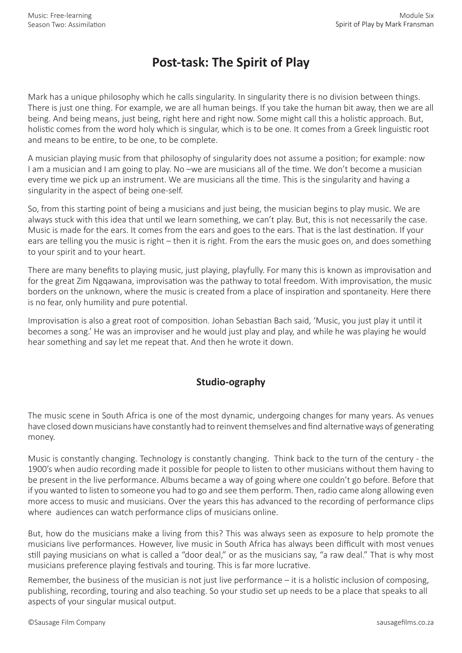## **Post-task: The Spirit of Play**

Mark has a unique philosophy which he calls singularity. In singularity there is no division between things. There is just one thing. For example, we are all human beings. If you take the human bit away, then we are all being. And being means, just being, right here and right now. Some might call this a holistic approach. But, holistic comes from the word holy which is singular, which is to be one. It comes from a Greek linguistic root and means to be entire, to be one, to be complete.

A musician playing music from that philosophy of singularity does not assume a position; for example: now I am a musician and I am going to play. No –we are musicians all of the time. We don't become a musician every time we pick up an instrument. We are musicians all the time. This is the singularity and having a singularity in the aspect of being one-self.

So, from this starting point of being a musicians and just being, the musician begins to play music. We are always stuck with this idea that until we learn something, we can't play. But, this is not necessarily the case. Music is made for the ears. It comes from the ears and goes to the ears. That is the last destination. If your ears are telling you the music is right – then it is right. From the ears the music goes on, and does something to your spirit and to your heart.

There are many benefits to playing music, just playing, playfully. For many this is known as improvisation and for the great Zim Ngqawana, improvisation was the pathway to total freedom. With improvisation, the music borders on the unknown, where the music is created from a place of inspiration and spontaneity. Here there is no fear, only humility and pure potential.

Improvisation is also a great root of composition. Johan Sebastian Bach said, 'Music, you just play it until it becomes a song.' He was an improviser and he would just play and play, and while he was playing he would hear something and say let me repeat that. And then he wrote it down.

## **Studio-ography**

The music scene in South Africa is one of the most dynamic, undergoing changes for many years. As venues have closed down musicians have constantly had to reinvent themselves and find alternative ways of generating money.

Music is constantly changing. Technology is constantly changing. Think back to the turn of the century - the 1900's when audio recording made it possible for people to listen to other musicians without them having to be present in the live performance. Albums became a way of going where one couldn't go before. Before that if you wanted to listen to someone you had to go and see them perform. Then, radio came along allowing even more access to music and musicians. Over the years this has advanced to the recording of performance clips where audiences can watch performance clips of musicians online.

But, how do the musicians make a living from this? This was always seen as exposure to help promote the musicians live performances. However, live music in South Africa has always been difficult with most venues still paying musicians on what is called a "door deal," or as the musicians say, "a raw deal." That is why most musicians preference playing festivals and touring. This is far more lucrative.

Remember, the business of the musician is not just live performance – it is a holistic inclusion of composing, publishing, recording, touring and also teaching. So your studio set up needs to be a place that speaks to all aspects of your singular musical output.